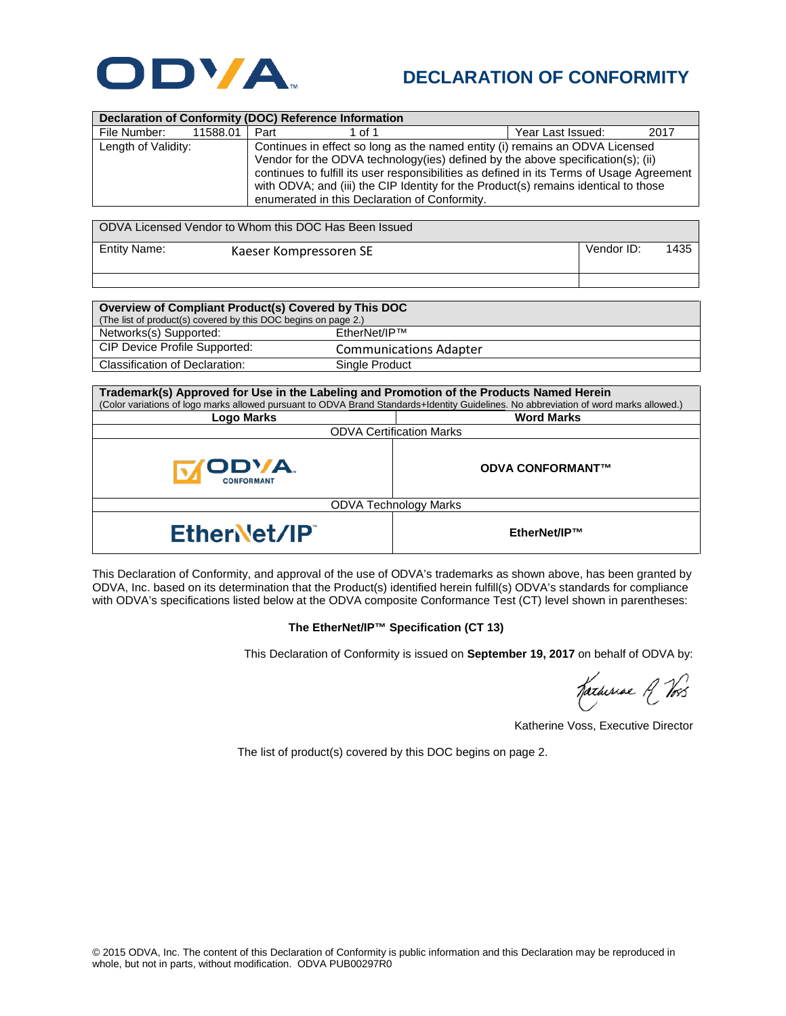

## **DECLARATION OF CONFORMITY**

| <b>Declaration of Conformity (DOC) Reference Information</b> |          |                                                                                                                                                                                                                                                                                                                                                                                                       |        |  |                   |      |
|--------------------------------------------------------------|----------|-------------------------------------------------------------------------------------------------------------------------------------------------------------------------------------------------------------------------------------------------------------------------------------------------------------------------------------------------------------------------------------------------------|--------|--|-------------------|------|
| File Number:                                                 | 11588.01 | Part                                                                                                                                                                                                                                                                                                                                                                                                  | 1 of 1 |  | Year Last Issued: | 2017 |
| Length of Validity:                                          |          | Continues in effect so long as the named entity (i) remains an ODVA Licensed<br>Vendor for the ODVA technology (ies) defined by the above specification(s); (ii)<br>continues to fulfill its user responsibilities as defined in its Terms of Usage Agreement<br>with ODVA; and (iii) the CIP Identity for the Product(s) remains identical to those<br>enumerated in this Declaration of Conformity. |        |  |                   |      |

| ODVA Licensed Vendor to Whom this DOC Has Been Issued |                        |            |      |  |  |
|-------------------------------------------------------|------------------------|------------|------|--|--|
| Entity Name:                                          | Kaeser Kompressoren SE | Vendor ID: | 1435 |  |  |

| Overview of Compliant Product(s) Covered by This DOC           |                               |  |  |  |
|----------------------------------------------------------------|-------------------------------|--|--|--|
| (The list of product(s) covered by this DOC begins on page 2.) |                               |  |  |  |
| Networks(s) Supported:                                         | EtherNet/IP™                  |  |  |  |
| CIP Device Profile Supported:                                  | <b>Communications Adapter</b> |  |  |  |
| Classification of Declaration:                                 | Single Product                |  |  |  |

| Trademark(s) Approved for Use in the Labeling and Promotion of the Products Named Herein<br>(Color variations of logo marks allowed pursuant to ODVA Brand Standards+Identity Guidelines. No abbreviation of word marks allowed.) |                         |  |  |  |
|-----------------------------------------------------------------------------------------------------------------------------------------------------------------------------------------------------------------------------------|-------------------------|--|--|--|
| <b>Logo Marks</b>                                                                                                                                                                                                                 | <b>Word Marks</b>       |  |  |  |
| <b>ODVA Certification Marks</b>                                                                                                                                                                                                   |                         |  |  |  |
| <b>ODVA.</b><br><b>CONFORMANT</b>                                                                                                                                                                                                 | <b>ODVA CONFORMANT™</b> |  |  |  |
| <b>ODVA Technology Marks</b>                                                                                                                                                                                                      |                         |  |  |  |
| EtherNet/IP                                                                                                                                                                                                                       | EtherNet/IP™            |  |  |  |

This Declaration of Conformity, and approval of the use of ODVA's trademarks as shown above, has been granted by ODVA, Inc. based on its determination that the Product(s) identified herein fulfill(s) ODVA's standards for compliance with ODVA's specifications listed below at the ODVA composite Conformance Test (CT) level shown in parentheses:

## **The EtherNet/IP™ Specification (CT 13)**

This Declaration of Conformity is issued on **September 19, 2017** on behalf of ODVA by:

Katheriae A Vos

Katherine Voss, Executive Director

The list of product(s) covered by this DOC begins on page 2.